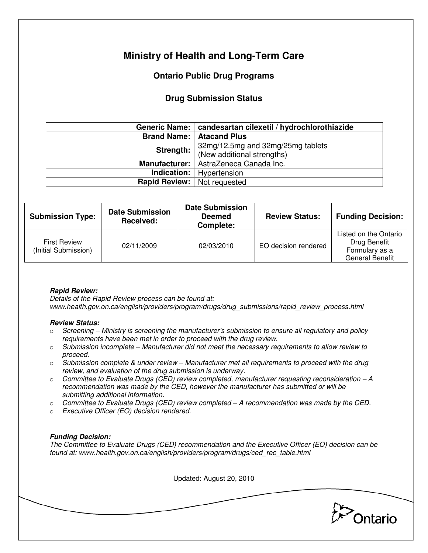# **Ministry of Health and Long-Term Care**

## **Ontario Public Drug Programs**

## **Drug Submission Status**

|                                    | Generic Name:   candesartan cilexetil / hydrochlorothiazide |  |  |
|------------------------------------|-------------------------------------------------------------|--|--|
|                                    | <b>Brand Name:   Atacand Plus</b>                           |  |  |
| Strength:                          | 32mg/12.5mg and 32mg/25mg tablets                           |  |  |
|                                    | (New additional strengths)                                  |  |  |
|                                    | Manufacturer:   AstraZeneca Canada Inc.                     |  |  |
|                                    | <b>Indication:</b>   Hypertension                           |  |  |
| <b>Rapid Review:</b> Not requested |                                                             |  |  |

| <b>Submission Type:</b>                     | <b>Date Submission</b><br>Received: | <b>Date Submission</b><br><b>Deemed</b><br>Complete: | <b>Review Status:</b> | <b>Funding Decision:</b>                                                          |
|---------------------------------------------|-------------------------------------|------------------------------------------------------|-----------------------|-----------------------------------------------------------------------------------|
| <b>First Review</b><br>(Initial Submission) | 02/11/2009                          | 02/03/2010                                           | EO decision rendered  | Listed on the Ontario<br>Drug Benefit<br>Formulary as a<br><b>General Benefit</b> |

### **Rapid Review:**

Details of the Rapid Review process can be found at: www.health.gov.on.ca/english/providers/program/drugs/drug\_submissions/rapid\_review\_process.html

#### **Review Status:**

- $\circ$  Screening Ministry is screening the manufacturer's submission to ensure all regulatory and policy requirements have been met in order to proceed with the drug review.
- $\circ$  Submission incomplete Manufacturer did not meet the necessary requirements to allow review to proceed.
- $\circ$  Submission complete & under review Manufacturer met all requirements to proceed with the drug review, and evaluation of the drug submission is underway.
- $\circ$  Committee to Evaluate Drugs (CED) review completed, manufacturer requesting reconsideration  $-A$ recommendation was made by the CED, however the manufacturer has submitted or will be submitting additional information.
- $\circ$  Committee to Evaluate Drugs (CED) review completed A recommendation was made by the CED.
- o Executive Officer (EO) decision rendered.

### **Funding Decision:**

The Committee to Evaluate Drugs (CED) recommendation and the Executive Officer (EO) decision can be found at: www.health.gov.on.ca/english/providers/program/drugs/ced\_rec\_table.html

Updated: August 20, 2010

Ontario